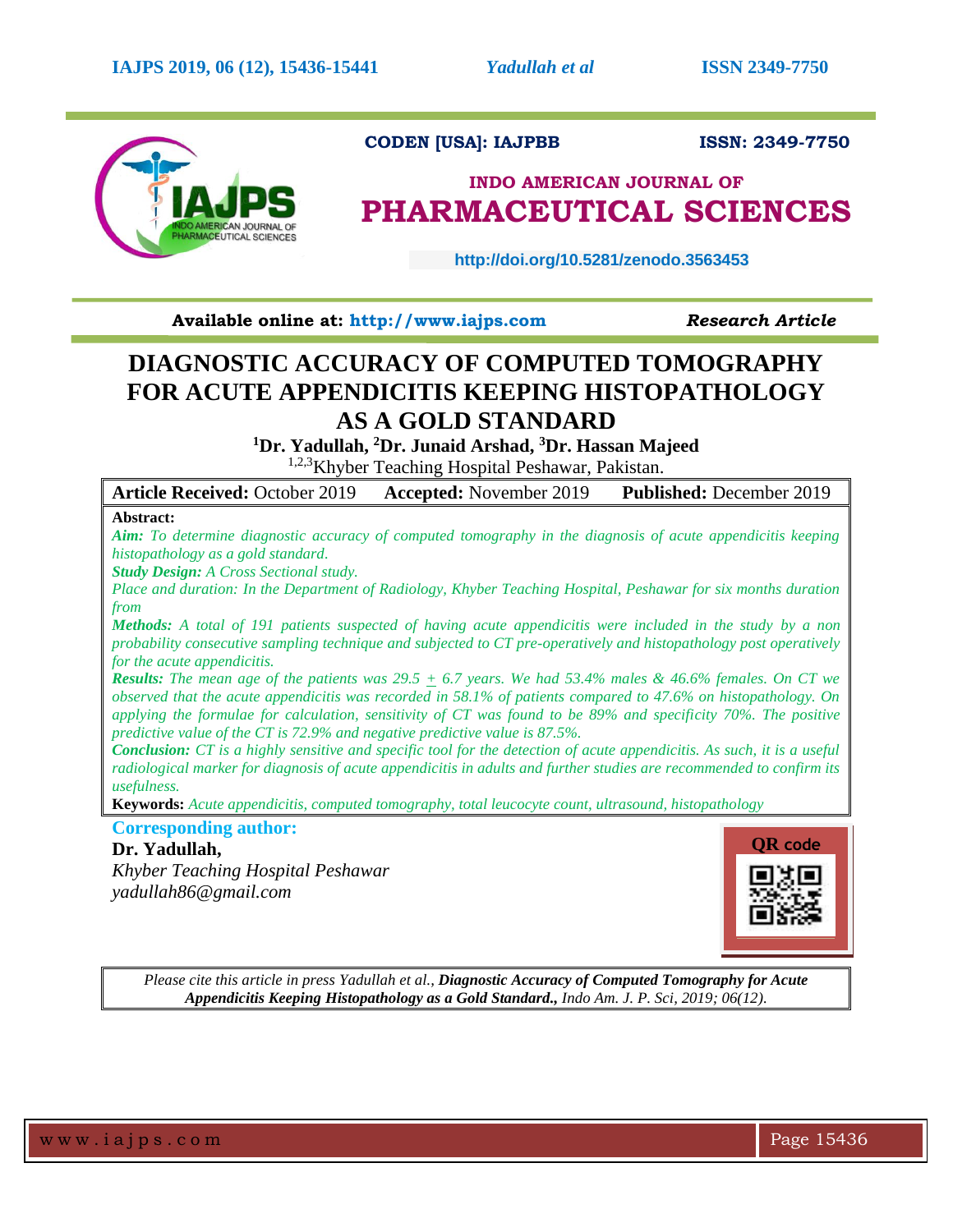

# **CODEN [USA]: IAJPBB ISSN: 2349-7750**

# **INDO AMERICAN JOURNAL OF PHARMACEUTICAL SCIENCES**

 **http://doi.org/10.5281/zenodo.3563453** 

**Available online at: [http://www.iajps.com](http://www.iajps.com/)** *Research Article*

# **DIAGNOSTIC ACCURACY OF COMPUTED TOMOGRAPHY FOR ACUTE APPENDICITIS KEEPING HISTOPATHOLOGY AS A GOLD STANDARD**

**<sup>1</sup>Dr. Yadullah, <sup>2</sup>Dr. Junaid Arshad, <sup>3</sup>Dr. Hassan Majeed**

<sup>1,2,3</sup>Khyber Teaching Hospital Peshawar, Pakistan.

**Article Received:** October 2019 **Accepted:** November 2019 **Published:** December 2019

# **Abstract:**

*Aim: To determine diagnostic accuracy of computed tomography in the diagnosis of acute appendicitis keeping histopathology as a gold standard.*

*Study Design: A Cross Sectional study.*

*Place and duration: In the Department of Radiology, Khyber Teaching Hospital, Peshawar for six months duration from* 

*Methods: A total of 191 patients suspected of having acute appendicitis were included in the study by a non probability consecutive sampling technique and subjected to CT pre-operatively and histopathology post operatively for the acute appendicitis.* 

*Results: The mean age of the patients was 29.5 + 6.7 years. We had 53.4% males & 46.6% females. On CT we observed that the acute appendicitis was recorded in 58.1% of patients compared to 47.6% on histopathology. On applying the formulae for calculation, sensitivity of CT was found to be 89% and specificity 70%. The positive predictive value of the CT is 72.9% and negative predictive value is 87.5%.*

*Conclusion: CT is a highly sensitive and specific tool for the detection of acute appendicitis. As such, it is a useful radiological marker for diagnosis of acute appendicitis in adults and further studies are recommended to confirm its usefulness.*

**Keywords:** *Acute appendicitis, computed tomography, total leucocyte count, ultrasound, histopathology*

# **Corresponding author:**

# **Dr. Yadullah,**

*Khyber Teaching Hospital Peshawar [yadullah86@gmail.com](mailto:yadullah86@gmail.com)*



*Please cite this article in press Yadullah et al., Diagnostic Accuracy of Computed Tomography for Acute Appendicitis Keeping Histopathology as a Gold Standard., Indo Am. J. P. Sci, 2019; 06(12).*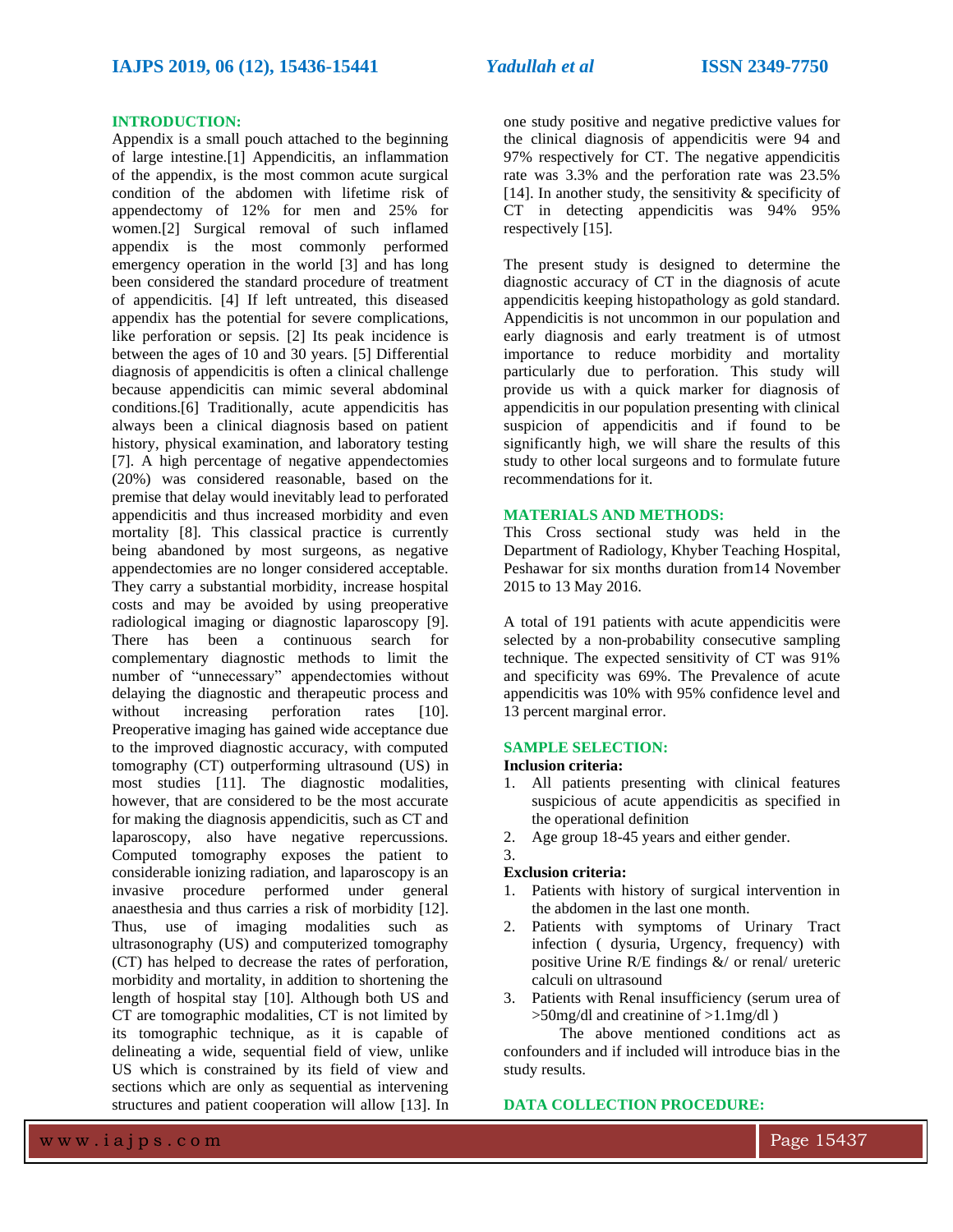### **INTRODUCTION:**

Appendix is a small pouch attached to the beginning of large intestine.[1] Appendicitis, an inflammation of the appendix, is the most common acute surgical condition of the abdomen with lifetime risk of appendectomy of 12% for men and 25% for women.[2] Surgical removal of such inflamed appendix is the most commonly performed emergency operation in the world [3] and has long been considered the standard procedure of treatment of appendicitis. [4] If left untreated, this diseased appendix has the potential for severe complications, like perforation or sepsis. [2] Its peak incidence is between the ages of 10 and 30 years. [5] Differential diagnosis of appendicitis is often a clinical challenge because appendicitis can mimic several abdominal conditions.[6] Traditionally, acute appendicitis has always been a clinical diagnosis based on patient history, physical examination, and laboratory testing [7]. A high percentage of negative appendectomies (20%) was considered reasonable, based on the premise that delay would inevitably lead to perforated appendicitis and thus increased morbidity and even mortality [8]. This classical practice is currently being abandoned by most surgeons, as negative appendectomies are no longer considered acceptable. They carry a substantial morbidity, increase hospital costs and may be avoided by using preoperative radiological imaging or diagnostic laparoscopy [9]. There has been a continuous search for complementary diagnostic methods to limit the number of "unnecessary" appendectomies without delaying the diagnostic and therapeutic process and without increasing perforation rates [10]. Preoperative imaging has gained wide acceptance due to the improved diagnostic accuracy, with computed tomography (CT) outperforming ultrasound (US) in most studies [11]. The diagnostic modalities, however, that are considered to be the most accurate for making the diagnosis appendicitis, such as CT and laparoscopy, also have negative repercussions. Computed tomography exposes the patient to considerable ionizing radiation, and laparoscopy is an invasive procedure performed under general anaesthesia and thus carries a risk of morbidity [12]. Thus, use of imaging modalities such as ultrasonography (US) and computerized tomography (CT) has helped to decrease the rates of perforation, morbidity and mortality, in addition to shortening the length of hospital stay [10]. Although both US and CT are tomographic modalities, CT is not limited by its tomographic technique, as it is capable of delineating a wide, sequential field of view, unlike US which is constrained by its field of view and sections which are only as sequential as intervening structures and patient cooperation will allow [13]. In

one study positive and negative predictive values for the clinical diagnosis of appendicitis were 94 and 97% respectively for CT. The negative appendicitis rate was 3.3% and the perforation rate was 23.5% [14]. In another study, the sensitivity  $\&$  specificity of CT in detecting appendicitis was 94% 95% respectively [15].

The present study is designed to determine the diagnostic accuracy of CT in the diagnosis of acute appendicitis keeping histopathology as gold standard. Appendicitis is not uncommon in our population and early diagnosis and early treatment is of utmost importance to reduce morbidity and mortality particularly due to perforation. This study will provide us with a quick marker for diagnosis of appendicitis in our population presenting with clinical suspicion of appendicitis and if found to be significantly high, we will share the results of this study to other local surgeons and to formulate future recommendations for it.

### **MATERIALS AND METHODS:**

This Cross sectional study was held in the Department of Radiology, Khyber Teaching Hospital, Peshawar for six months duration from14 November 2015 to 13 May 2016.

A total of 191 patients with acute appendicitis were selected by a non-probability consecutive sampling technique. The expected sensitivity of CT was 91% and specificity was 69%. The Prevalence of acute appendicitis was 10% with 95% confidence level and 13 percent marginal error.

# **SAMPLE SELECTION:**

# **Inclusion criteria:**

- 1. All patients presenting with clinical features suspicious of acute appendicitis as specified in the operational definition
- 2. Age group 18-45 years and either gender.

### 3.

### **Exclusion criteria:**

- 1. Patients with history of surgical intervention in the abdomen in the last one month.
- 2. Patients with symptoms of Urinary Tract infection ( dysuria, Urgency, frequency) with positive Urine R/E findings &/ or renal/ ureteric calculi on ultrasound
- 3. Patients with Renal insufficiency (serum urea of >50mg/dl and creatinine of >1.1mg/dl )

The above mentioned conditions act as confounders and if included will introduce bias in the study results.

# **DATA COLLECTION PROCEDURE:**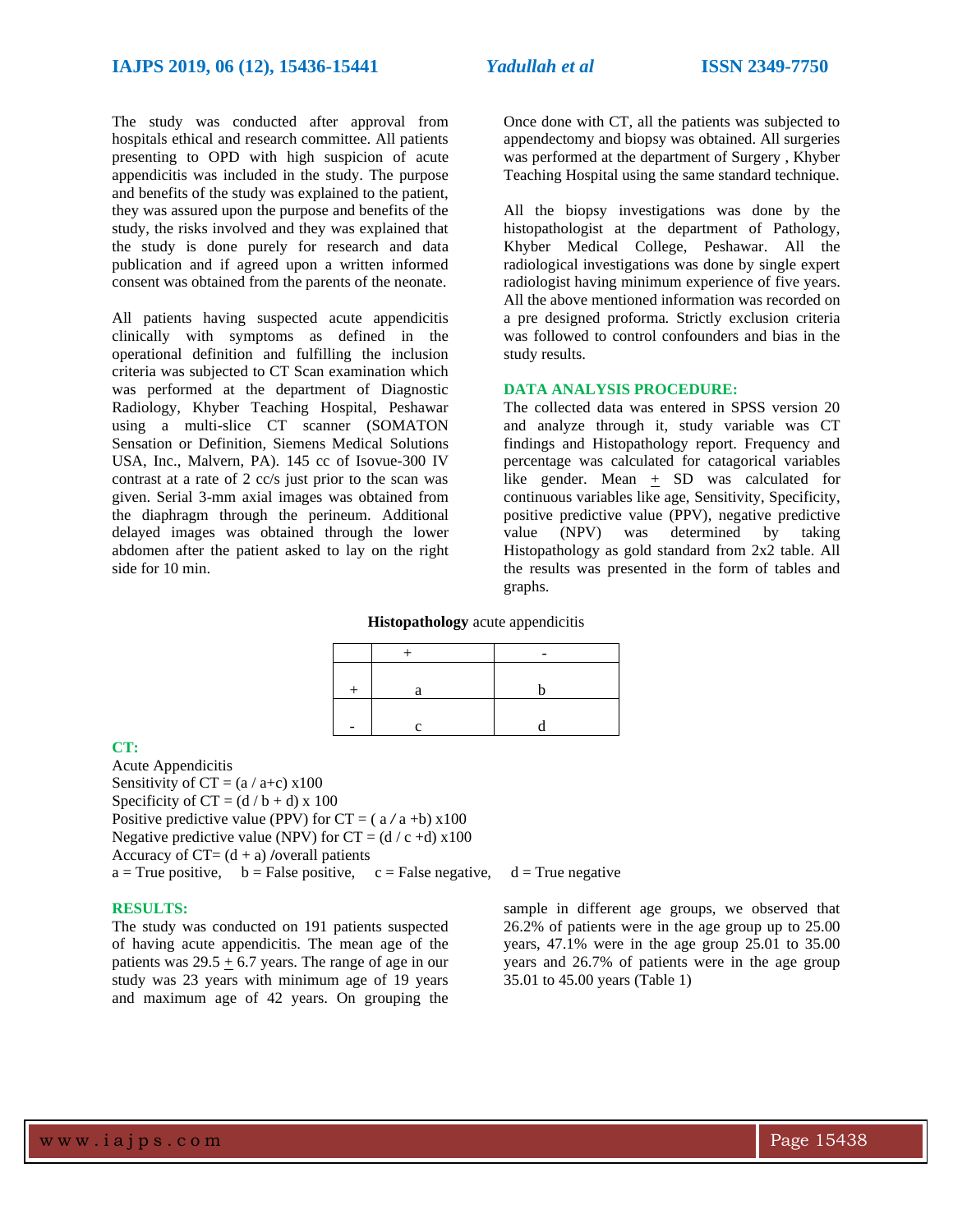The study was conducted after approval from hospitals ethical and research committee. All patients presenting to OPD with high suspicion of acute appendicitis was included in the study. The purpose and benefits of the study was explained to the patient, they was assured upon the purpose and benefits of the study, the risks involved and they was explained that the study is done purely for research and data publication and if agreed upon a written informed consent was obtained from the parents of the neonate.

All patients having suspected acute appendicitis clinically with symptoms as defined in the operational definition and fulfilling the inclusion criteria was subjected to CT Scan examination which was performed at the department of Diagnostic Radiology, Khyber Teaching Hospital, Peshawar using a multi-slice CT scanner (SOMATON Sensation or Definition, Siemens Medical Solutions USA, Inc., Malvern, PA). 145 cc of Isovue-300 IV contrast at a rate of 2 cc/s just prior to the scan was given. Serial 3-mm axial images was obtained from the diaphragm through the perineum. Additional delayed images was obtained through the lower abdomen after the patient asked to lay on the right side for 10 min.

Once done with CT, all the patients was subjected to appendectomy and biopsy was obtained. All surgeries was performed at the department of Surgery , Khyber Teaching Hospital using the same standard technique.

All the biopsy investigations was done by the histopathologist at the department of Pathology, Khyber Medical College, Peshawar. All the radiological investigations was done by single expert radiologist having minimum experience of five years. All the above mentioned information was recorded on a pre designed proforma. Strictly exclusion criteria was followed to control confounders and bias in the study results.

### **DATA ANALYSIS PROCEDURE:**

The collected data was entered in SPSS version 20 and analyze through it, study variable was CT findings and Histopathology report. Frequency and percentage was calculated for catagorical variables like gender. Mean + SD was calculated for continuous variables like age, Sensitivity, Specificity, positive predictive value (PPV), negative predictive value (NPV) was determined by taking Histopathology as gold standard from 2x2 table. All the results was presented in the form of tables and graphs.

### **Histopathology** acute appendicitis

# **CT:**

Acute Appendicitis Sensitivity of  $CT = (a / a+c) \times 100$ Specificity of  $CT = (d / b + d) \times 100$ Positive predictive value (PPV) for  $CT = (a/a +b) \times 100$ Negative predictive value (NPV) for  $CT = (d / c + d) \times 100$ Accuracy of  $CT = (d + a)$  /overall patients  $a = True positive$ ,  $b = False positive$ ,  $c = False negative$ ,  $d = True negative$ 

## **RESULTS:**

The study was conducted on 191 patients suspected of having acute appendicitis. The mean age of the patients was  $29.5 \pm 6.7$  years. The range of age in our study was 23 years with minimum age of 19 years and maximum age of 42 years. On grouping the

sample in different age groups, we observed that 26.2% of patients were in the age group up to 25.00 years, 47.1% were in the age group 25.01 to 35.00 years and 26.7% of patients were in the age group 35.01 to 45.00 years (Table 1)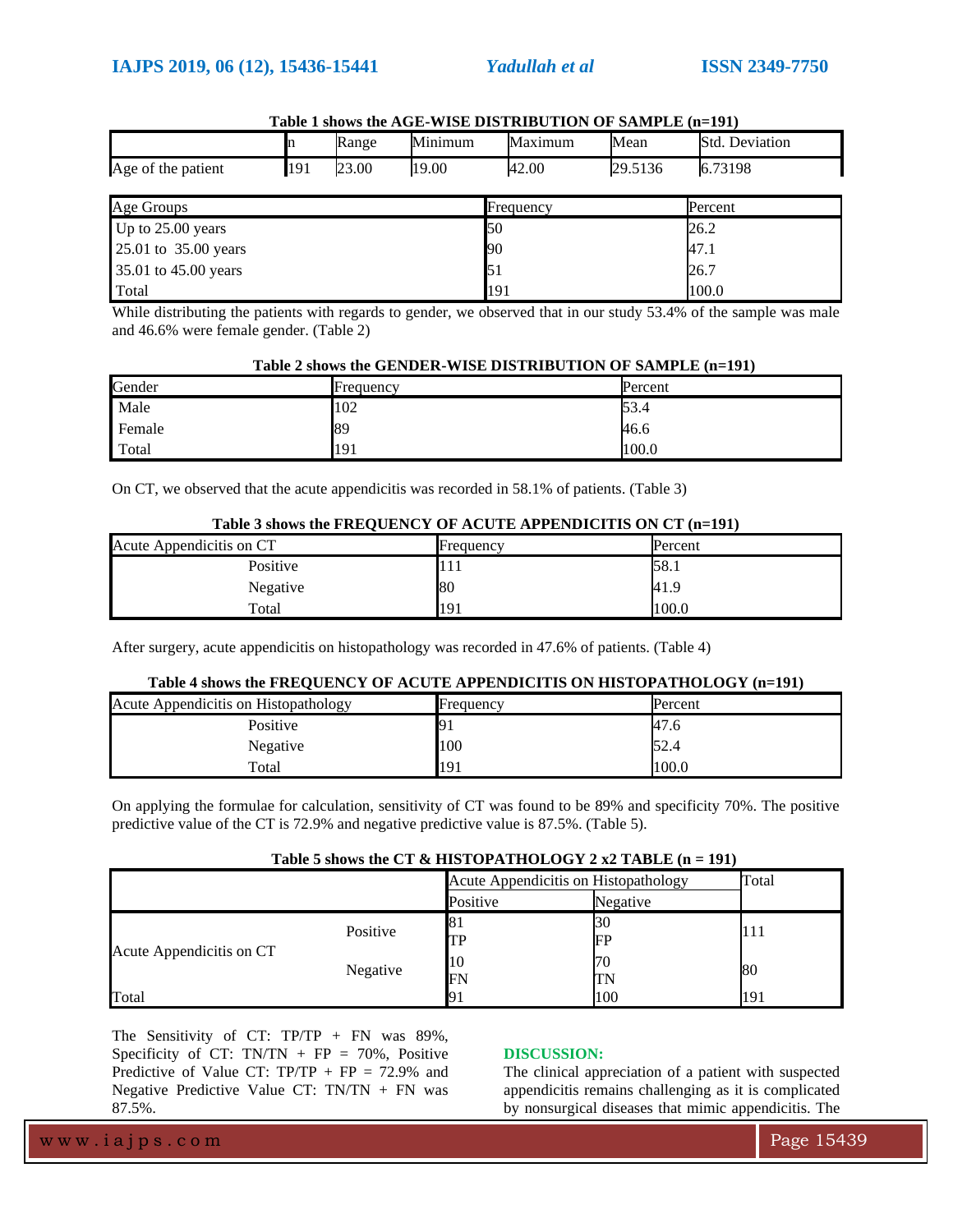$T$ ab  $\frac{1}{2}$ shows the  $T$ 

| Table 1 shows the AGE-WISE DISTRIBUTION OF SAMPLE (n=191) |     |       |         |         |         |                       |
|-----------------------------------------------------------|-----|-------|---------|---------|---------|-----------------------|
|                                                           |     | Range | Minimum | Maximum | Mean    | <b>Std. Deviation</b> |
| Age of the patient                                        | 191 | 23.00 | 19.00   | 42.00   | 29.5136 | 6.73198               |

| Age of the patient       | ロフエ | LJ.VV | 11.2.VV | H∠.∪∪        | <b>22.9190</b> | 0.13120 |  |
|--------------------------|-----|-------|---------|--------------|----------------|---------|--|
| Age Groups               |     |       |         | Frequency    |                | Percent |  |
| Up to 25.00 years        |     |       |         | 50           |                | 26.2    |  |
| 25.01 to 35.00 years     |     |       |         | 90           |                | 47.1    |  |
| $35.01$ to $45.00$ years |     |       |         | $\epsilon$ 1 |                | 26.7    |  |

|                                                                                                                    |     | .     |
|--------------------------------------------------------------------------------------------------------------------|-----|-------|
| Total                                                                                                              | 191 | 100.0 |
| While distributing the patients with regards to gender, we observed that in our study 53.4% of the sample was male |     |       |

While distributing the patients with regards to gender, we observed that in our study 53.4% of the sample was male and 46.6% were female gender. (Table 2)

### **Table 2 shows the GENDER-WISE DISTRIBUTION OF SAMPLE (n=191)**

| Gender | Frequency | Percent |
|--------|-----------|---------|
| Male   | 102       | 53.4    |
| Female | 89        | 46.6    |
| Total  | 191       | 100.0   |

On CT, we observed that the acute appendicitis was recorded in 58.1% of patients. (Table 3)

### **Table 3 shows the FREQUENCY OF ACUTE APPENDICITIS ON CT (n=191)**

| Acute Appendicitis on CT | Frequency | Percent |  |  |  |  |
|--------------------------|-----------|---------|--|--|--|--|
| Positive                 | 111       | 58.1    |  |  |  |  |
| Negative                 | 80        | 41.9    |  |  |  |  |
| Total                    | 191       | 100.0   |  |  |  |  |

After surgery, acute appendicitis on histopathology was recorded in 47.6% of patients. (Table 4)

# **Table 4 shows the FREQUENCY OF ACUTE APPENDICITIS ON HISTOPATHOLOGY (n=191)**

| Acute Appendicitis on Histopathology | Frequency | Percent |
|--------------------------------------|-----------|---------|
| Positive                             |           | 47.6    |
| Negative                             | 100       | 52.4    |
| Total                                | 191       | 100.0   |

On applying the formulae for calculation, sensitivity of CT was found to be 89% and specificity 70%. The positive predictive value of the CT is 72.9% and negative predictive value is 87.5%. (Table 5).

|  | Table 5 shows the CT & HISTOPATHOLOGY 2 x2 TABLE $(n = 191)$ |  |
|--|--------------------------------------------------------------|--|
|--|--------------------------------------------------------------|--|

|                          |          | Acute Appendicitis on Histopathology |          | Total |
|--------------------------|----------|--------------------------------------|----------|-------|
|                          |          | Positive                             | Negative |       |
|                          | Positive | ιŏ.                                  | 30       |       |
|                          |          | TР                                   | FP       | 111   |
| Acute Appendicitis on CT | Negative | 10                                   | 70       |       |
|                          |          | FN                                   | TN       | 80    |
| Total                    |          |                                      | 100      | 191   |

The Sensitivity of CT: TP/TP + FN was 89%, Specificity of CT: TN/TN + FP = 70%, Positive Predictive of Value CT:  $TP/TP + FP = 72.9\%$  and Negative Predictive Value CT: TN/TN + FN was 87.5%.

# **DISCUSSION:**

The clinical appreciation of a patient with suspected appendicitis remains challenging as it is complicated by nonsurgical diseases that mimic appendicitis. The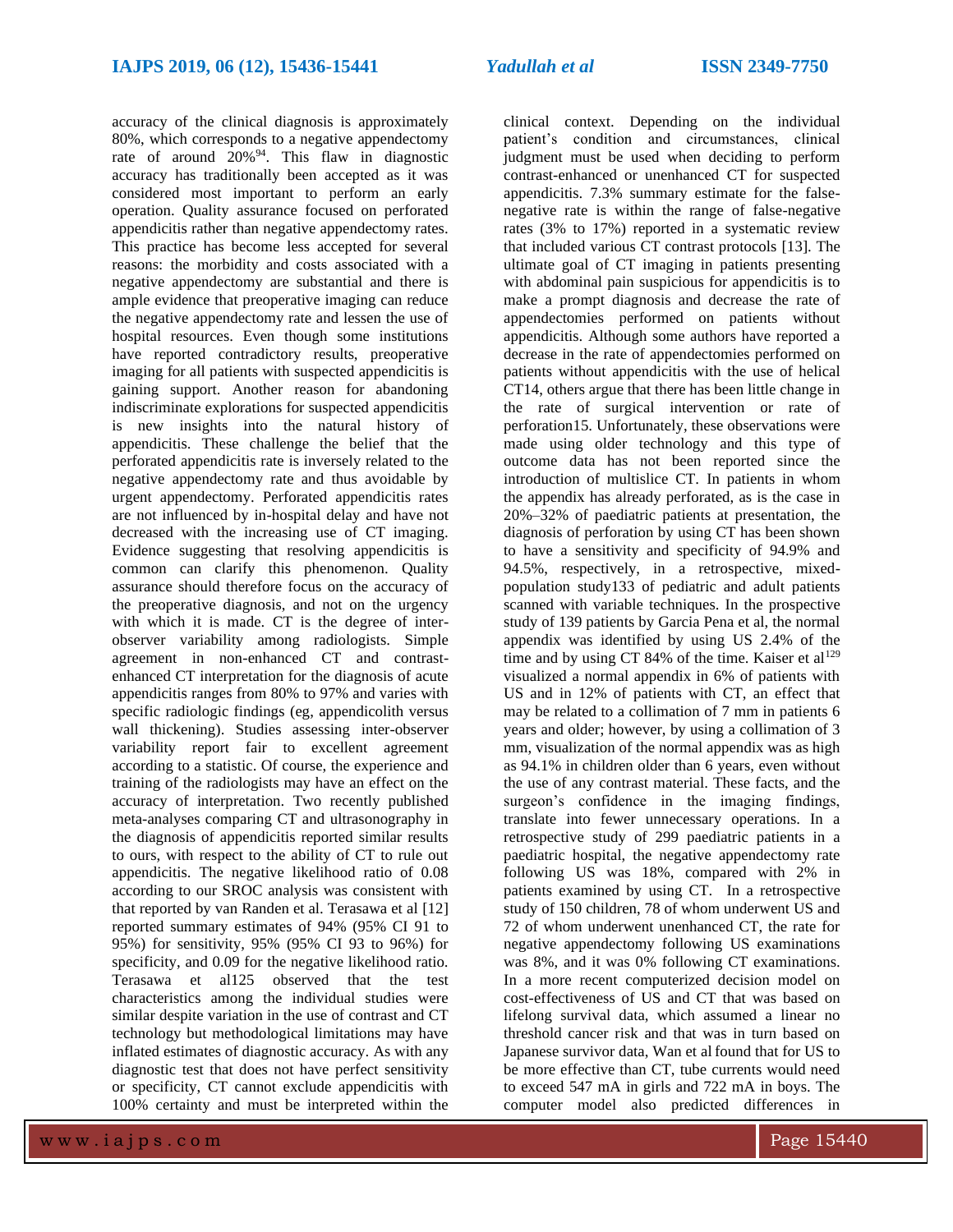accuracy of the clinical diagnosis is approximately 80%, which corresponds to a negative appendectomy rate of around  $20\%^{94}$ . This flaw in diagnostic accuracy has traditionally been accepted as it was considered most important to perform an early operation. Quality assurance focused on perforated appendicitis rather than negative appendectomy rates. This practice has become less accepted for several reasons: the morbidity and costs associated with a negative appendectomy are substantial and there is ample evidence that preoperative imaging can reduce the negative appendectomy rate and lessen the use of hospital resources. Even though some institutions have reported contradictory results, preoperative imaging for all patients with suspected appendicitis is gaining support. Another reason for abandoning indiscriminate explorations for suspected appendicitis is new insights into the natural history of appendicitis. These challenge the belief that the perforated appendicitis rate is inversely related to the negative appendectomy rate and thus avoidable by urgent appendectomy. Perforated appendicitis rates are not influenced by in-hospital delay and have not decreased with the increasing use of CT imaging. Evidence suggesting that resolving appendicitis is common can clarify this phenomenon. Quality assurance should therefore focus on the accuracy of the preoperative diagnosis, and not on the urgency with which it is made. CT is the degree of interobserver variability among radiologists. Simple agreement in non-enhanced CT and contrastenhanced CT interpretation for the diagnosis of acute appendicitis ranges from 80% to 97% and varies with specific radiologic findings (eg, appendicolith versus wall thickening). Studies assessing inter-observer variability report fair to excellent agreement according to a statistic. Of course, the experience and training of the radiologists may have an effect on the accuracy of interpretation. Two recently published meta-analyses comparing CT and ultrasonography in the diagnosis of appendicitis reported similar results to ours, with respect to the ability of CT to rule out appendicitis. The negative likelihood ratio of 0.08 according to our SROC analysis was consistent with that reported by van Randen et al. Terasawa et al [12] reported summary estimates of 94% (95% CI 91 to 95%) for sensitivity, 95% (95% CI 93 to 96%) for specificity, and 0.09 for the negative likelihood ratio. Terasawa et al125 observed that the test characteristics among the individual studies were similar despite variation in the use of contrast and CT technology but methodological limitations may have inflated estimates of diagnostic accuracy. As with any diagnostic test that does not have perfect sensitivity or specificity, CT cannot exclude appendicitis with 100% certainty and must be interpreted within the

clinical context. Depending on the individual patient's condition and circumstances, clinical judgment must be used when deciding to perform contrast-enhanced or unenhanced CT for suspected appendicitis. 7.3% summary estimate for the falsenegative rate is within the range of false-negative rates (3% to 17%) reported in a systematic review that included various CT contrast protocols [13]. The ultimate goal of CT imaging in patients presenting with abdominal pain suspicious for appendicitis is to make a prompt diagnosis and decrease the rate of appendectomies performed on patients without appendicitis. Although some authors have reported a decrease in the rate of appendectomies performed on patients without appendicitis with the use of helical CT14, others argue that there has been little change in the rate of surgical intervention or rate of perforation15. Unfortunately, these observations were made using older technology and this type of outcome data has not been reported since the introduction of multislice CT. In patients in whom the appendix has already perforated, as is the case in 20%–32% of paediatric patients at presentation, the diagnosis of perforation by using CT has been shown to have a sensitivity and specificity of 94.9% and 94.5%, respectively, in a retrospective, mixedpopulation study133 of pediatric and adult patients scanned with variable techniques. In the prospective study of 139 patients by Garcia Pena et al, the normal appendix was identified by using US 2.4% of the time and by using CT 84% of the time. Kaiser et al<sup>129</sup> visualized a normal appendix in 6% of patients with US and in 12% of patients with CT, an effect that may be related to a collimation of 7 mm in patients 6 years and older; however, by using a collimation of 3 mm, visualization of the normal appendix was as high as 94.1% in children older than 6 years, even without the use of any contrast material. These facts, and the surgeon's confidence in the imaging findings, translate into fewer unnecessary operations. In a retrospective study of 299 paediatric patients in a paediatric hospital, the negative appendectomy rate following US was 18%, compared with 2% in patients examined by using CT. In a retrospective study of 150 children, 78 of whom underwent US and 72 of whom underwent unenhanced CT, the rate for negative appendectomy following US examinations was 8%, and it was 0% following CT examinations. In a more recent computerized decision model on cost-effectiveness of US and CT that was based on lifelong survival data, which assumed a linear no threshold cancer risk and that was in turn based on Japanese survivor data, Wan et al found that for US to be more effective than CT, tube currents would need to exceed 547 mA in girls and 722 mA in boys. The computer model also predicted differences in